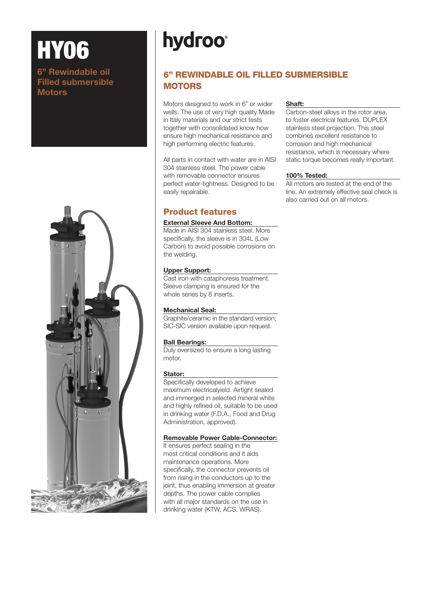# **hydroo**

## 6" REWINDABLE OIL FILLED SUBMERSIBLE **MOTORS**

Motors designed to work in 6" or wider wells. The use of very high quality Made in Italy materials and our strict tests together with consolidated know how ensure high mechanical resistance and high performing electric features.

All parts in contact with water are in AISI 304 stainless steel. The power cable with removable connector ensures perfect water-tightness. Designed to be easily repairable.

### Product features

#### External Sleeve And Bottom:

Made in AISI 304 stainless steel. More specifically, the sleeve is in 304L (Low Carbon) to avoid possible corrosions on the welding.

#### Upper Support:

Cast iron with cataphoresis treatment. Sleeve clamping is ensured for the whole series by 8 inserts.

#### Mechanical Seal:

Graphite/ceramic in the standard version; SIC-SIC version available upon request.

#### Ball Bearings:

Duly oversized to ensure a long lasting motor.

#### Stator:

Specifically developed to achieve maximum electricalyield. Airtight sealed and immerged in selected mineral white and highly refined oil, suitable to be used in drinking water (F.D.A., Food and Drug Administration, approved).

#### Removable Power Cable-Connector:

It ensures perfect sealing in the most critical conditions and it aids maintenance operations. More specifically, the connector prevents oil from rising in the conductors up to the joint, thus enabling immersion at greater depths. The power cable complies with all major standards on the use in drinking water (KTW, ACS, WRAS).

#### Shaft:

Carbon-steel alloys in the rotor area, to foster electrical features. DUPLEX stainless steel projection. This steel combines excellent resistance to corrosion and high mechanical resistance, which is necessary where static torque becomes really important.

#### 100% Tested:

All motors are tested at the end of the line. An extremely effective seal check is also carried out on all motors.



**HY06** 

**Motors** 

6" Rewindable oil Filled submersible